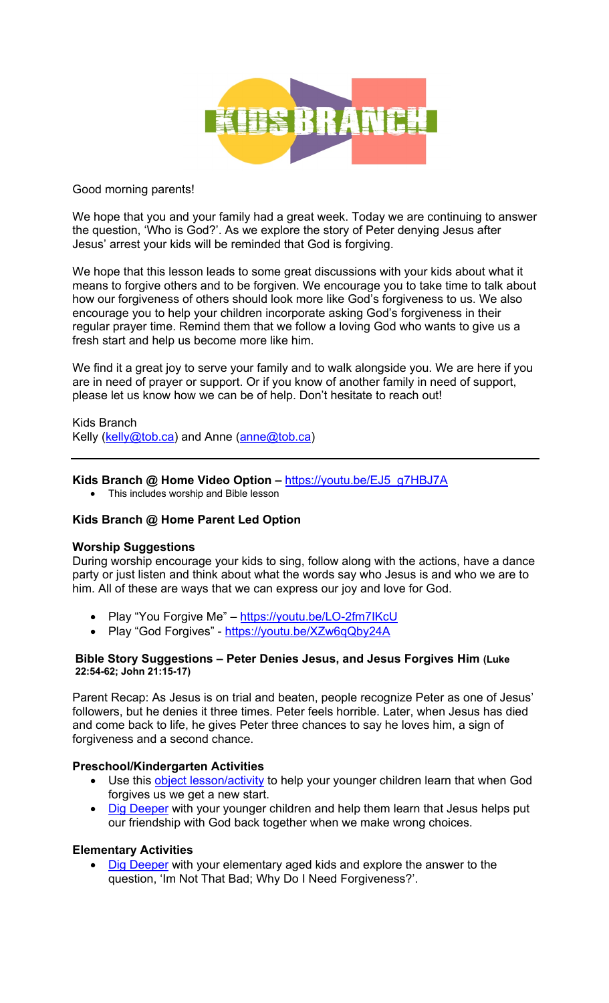

## Good morning parents!

We hope that you and your family had a great week. Today we are continuing to answer the question, 'Who is God?'. As we explore the story of Peter denying Jesus after Jesus' arrest your kids will be reminded that God is forgiving.

We hope that this lesson leads to some great discussions with your kids about what it means to forgive others and to be forgiven. We encourage you to take time to talk about how our forgiveness of others should look more like God's forgiveness to us. We also encourage you to help your children incorporate asking God's forgiveness in their regular prayer time. Remind them that we follow a loving God who wants to give us a fresh start and help us become more like him.

We find it a great joy to serve your family and to walk alongside you. We are here if you are in need of prayer or support. Or if you know of another family in need of support, please let us know how we can be of help. Don't hesitate to reach out!

Kids Branch Kelly (kelly@tob.ca) and Anne (anne@tob.ca)

## **Kids Branch @ Home Video Option –** https://youtu.be/EJ5\_g7HBJ7A

• This includes worship and Bible lesson

## **Kids Branch @ Home Parent Led Option**

#### **Worship Suggestions**

During worship encourage your kids to sing, follow along with the actions, have a dance party or just listen and think about what the words say who Jesus is and who we are to him. All of these are ways that we can express our joy and love for God.

- Play "You Forgive Me" https://youtu.be/LO-2fm7IKcU
- Play "God Forgives" https://youtu.be/XZw6qQby24A

#### **Bible Story Suggestions – Peter Denies Jesus, and Jesus Forgives Him (Luke 22:54-62; John 21:15-17)**

Parent Recap: As Jesus is on trial and beaten, people recognize Peter as one of Jesus' followers, but he denies it three times. Peter feels horrible. Later, when Jesus has died and come back to life, he gives Peter three chances to say he loves him, a sign of forgiveness and a second chance.

# **Preschool/Kindergarten Activities**

- Use this **object lesson/activity** to help your younger children learn that when God forgives us we get a new start.
- Dig Deeper with your younger children and help them learn that Jesus helps put our friendship with God back together when we make wrong choices.

#### **Elementary Activities**

Dig Deeper with your elementary aged kids and explore the answer to the question, 'Im Not That Bad; Why Do I Need Forgiveness?'.